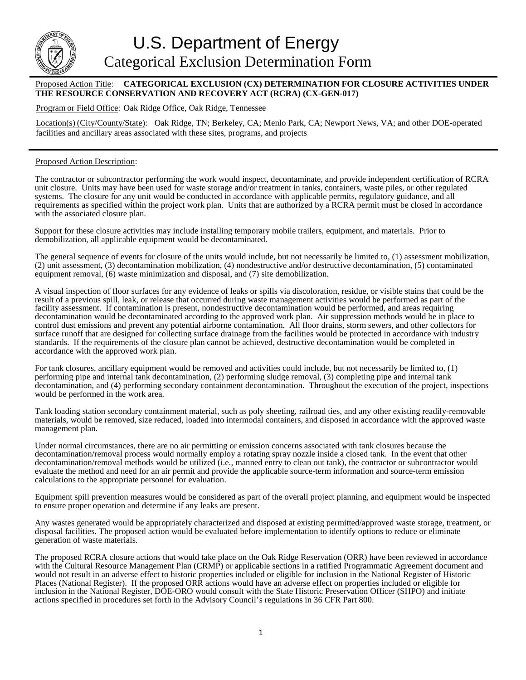

U.S. Department of Energy Categorical Exclusion Determination Form

## Proposed Action Title: **CATEGORICAL EXCLUSION (CX) DETERMINATION FOR CLOSURE ACTIVITIES UNDER THE RESOURCE CONSERVATION AND RECOVERY ACT (RCRA) (CX-GEN-017)**

Program or Field Office: Oak Ridge Office, Oak Ridge, Tennessee

Location(s) (City/County/State): Oak Ridge, TN; Berkeley, CA; Menlo Park, CA; Newport News, VA; and other DOE-operated facilities and ancillary areas associated with these sites, programs, and projects

## Proposed Action Description:

The contractor or subcontractor performing the work would inspect, decontaminate, and provide independent certification of RCRA unit closure. Units may have been used for waste storage and/or treatment in tanks, containers, waste piles, or other regulated systems. The closure for any unit would be conducted in accordance with applicable permits, regulatory guidance, and all requirements as specified within the project work plan. Units that are authorized by a RCRA permit must be closed in accordance with the associated closure plan.

Support for these closure activities may include installing temporary mobile trailers, equipment, and materials. Prior to demobilization, all applicable equipment would be decontaminated.

The general sequence of events for closure of the units would include, but not necessarily be limited to, (1) assessment mobilization, (2) unit assessment, (3) decontamination mobilization, (4) nondestructive and/or destructive decontamination, (5) contaminated equipment removal, (6) waste minimization and disposal, and (7) site demobilization.

A visual inspection of floor surfaces for any evidence of leaks or spills via discoloration, residue, or visible stains that could be the result of a previous spill, leak, or release that occurred during waste management activities would be performed as part of the facility assessment. If contamination is present, nondestructive decontamination would be performed, and areas requiring decontamination would be decontaminated according to the approved work plan. Air suppression methods would be in place to control dust emissions and prevent any potential airborne contamination. All floor drains, storm sewers, and other collectors for surface runoff that are designed for collecting surface drainage from the facilities would be protected in accordance with industry standards. If the requirements of the closure plan cannot be achieved, destructive decontamination would be completed in accordance with the approved work plan.

For tank closures, ancillary equipment would be removed and activities could include, but not necessarily be limited to, (1) performing pipe and internal tank decontamination, (2) performing sludge removal, (3) completing pipe and internal tank decontamination, and (4) performing secondary containment decontamination. Throughout the execution of the project, inspections would be performed in the work area.

Tank loading station secondary containment material, such as poly sheeting, railroad ties, and any other existing readily-removable materials, would be removed, size reduced, loaded into intermodal containers, and disposed in accordance with the approved waste management plan.

Under normal circumstances, there are no air permitting or emission concerns associated with tank closures because the decontamination/removal process would normally employ a rotating spray nozzle inside a closed tank. In the event that other decontamination/removal methods would be utilized (i.e., manned entry to clean out tank), the contractor or subcontractor would evaluate the method and need for an air permit and provide the applicable source-term information and source-term emission calculations to the appropriate personnel for evaluation.

Equipment spill prevention measures would be considered as part of the overall project planning, and equipment would be inspected to ensure proper operation and determine if any leaks are present.

Any wastes generated would be appropriately characterized and disposed at existing permitted/approved waste storage, treatment, or disposal facilities. The proposed action would be evaluated before implementation to identify options to reduce or eliminate generation of waste materials.

The proposed RCRA closure actions that would take place on the Oak Ridge Reservation (ORR) have been reviewed in accordance with the Cultural Resource Management Plan (CRMP) or applicable sections in a ratified Programmatic Agreement document and would not result in an adverse effect to historic properties included or eligible for inclusion in the National Register of Historic Places (National Register). If the proposed ORR actions would have an adverse effect on properties included or eligible for inclusion in the National Register, DOE-ORO would consult with the State Historic Preservation Officer (SHPO) and initiate actions specified in procedures set forth in the Advisory Council's regulations in 36 CFR Part 800.